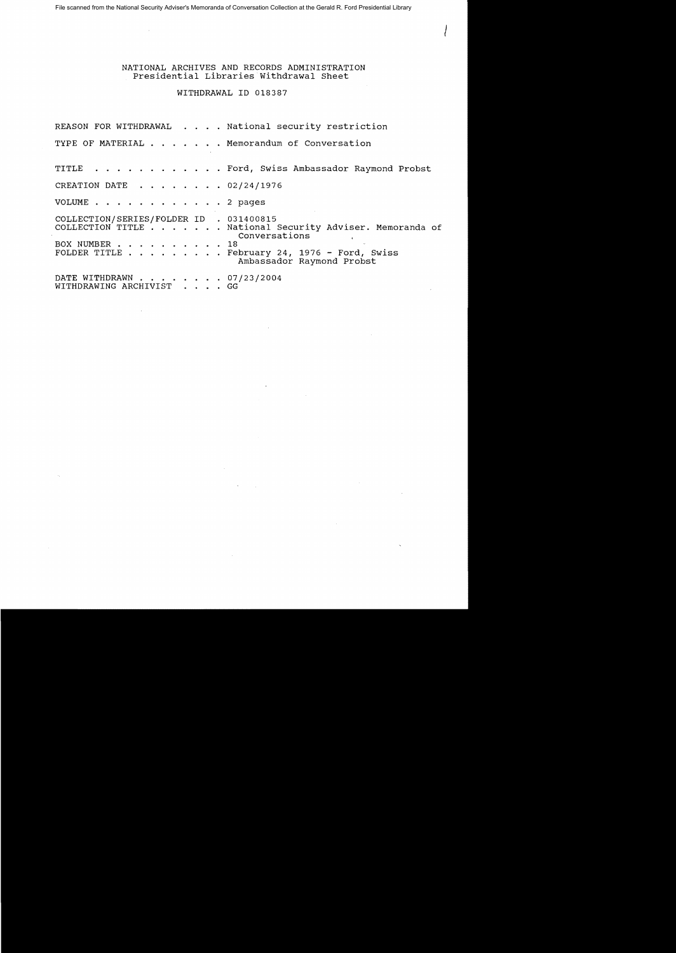NATIONAL ARCHIVES AND RECORDS ADMINISTRATION Presidential Libraries Withdrawal Sheet

 $\left\langle \right\rangle$ 

## WITHDRAWAL ID 018387

REASON FOR WITHDRAWAL . . . . National security restriction TYPE OF MATERIAL . . . . . . Memorandum of Conversation TITLE . . . . . . . . . . . Ford, Swiss Ambassador Raymond Probst CREATION DATE . . . . . . . 02/24/1976 VOLUME . . . . . . . . . . . . 2 pages COLLECTION/SERIES/FOLDER ID . 031400815 COLLECTION TITLE ..... National Security Adviser. Memoranda of Conversations BOX NUMBER .. . . . . . 18 FOLDER TITLE . . . . . . . . February 24, 1976 - Ford, Swiss Ambassador Raymond Probst DATE WITHDRAWN . . . . . . . 07/23/2004 WITHDRAWING ARCHIVIST . . . . GG